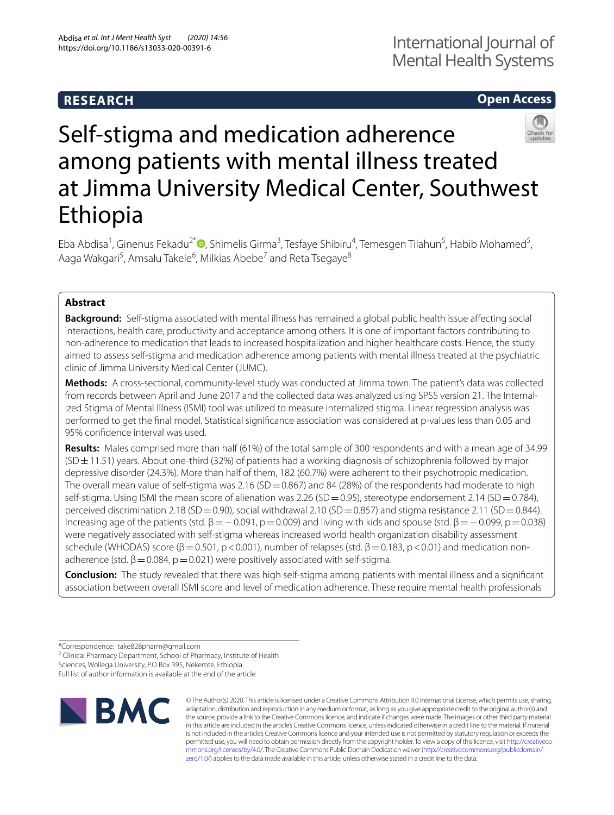# **RESEARCH**

# **Open Access**



# Self-stigma and medication adherence among patients with mental illness treated at Jimma University Medical Center, Southwest Ethiopia

Eba Abdisa<sup>1</sup>[,](http://orcid.org/0000-0002-4926-0685) Ginenus Fekadu<sup>2\*</sup> D, Shimelis Girma<sup>3</sup>, Tesfaye Shibiru<sup>4</sup>, Temesgen Tilahun<sup>5</sup>, Habib Mohamed<sup>5</sup>, Aaga Wakgari<sup>5</sup>, Amsalu Takele<sup>6</sup>, Milkias Abebe<sup>7</sup> and Reta Tsegaye<sup>8</sup>

## **Abstract**

**Background:** Self-stigma associated with mental illness has remained a global public health issue afecting social interactions, health care, productivity and acceptance among others. It is one of important factors contributing to non-adherence to medication that leads to increased hospitalization and higher healthcare costs. Hence, the study aimed to assess self-stigma and medication adherence among patients with mental illness treated at the psychiatric clinic of Jimma University Medical Center (JUMC).

**Methods:** A cross-sectional, community-level study was conducted at Jimma town. The patient's data was collected from records between April and June 2017 and the collected data was analyzed using SPSS version 21. The Internalized Stigma of Mental Illness (ISMI) tool was utilized to measure internalized stigma. Linear regression analysis was performed to get the fnal model. Statistical signifcance association was considered at p-values less than 0.05 and 95% confdence interval was used.

**Results:** Males comprised more than half (61%) of the total sample of 300 respondents and with a mean age of 34.99  $(SD \pm 11.51)$  years. About one-third (32%) of patients had a working diagnosis of schizophrenia followed by major depressive disorder (24.3%). More than half of them, 182 (60.7%) were adherent to their psychotropic medication. The overall mean value of self-stigma was  $2.16$  (SD = 0.867) and 84 (28%) of the respondents had moderate to high self-stigma. Using ISMI the mean score of alienation was 2.26 (SD = 0.95), stereotype endorsement 2.14 (SD = 0.784), perceived discrimination 2.18 (SD = 0.90), social withdrawal 2.10 (SD = 0.857) and stigma resistance 2.11 (SD = 0.844). Increasing age of the patients (std.  $β = -0.091$ ,  $p = 0.009$ ) and living with kids and spouse (std.  $β = -0.099$ ,  $p = 0.038$ ) were negatively associated with self-stigma whereas increased world health organization disability assessment schedule (WHODAS) score (β = 0.501, p < 0.001), number of relapses (std. β = 0.183, p < 0.01) and medication nonadherence (std.  $\beta$  = 0.084, p = 0.021) were positively associated with self-stigma.

**Conclusion:** The study revealed that there was high self-stigma among patients with mental illness and a signifcant association between overall ISMI score and level of medication adherence. These require mental health professionals

<sup>2</sup> Clinical Pharmacy Department, School of Pharmacy, Institute of Health

Full list of author information is available at the end of the article



© The Author(s) 2020. This article is licensed under a Creative Commons Attribution 4.0 International License, which permits use, sharing, adaptation, distribution and reproduction in any medium or format, as long as you give appropriate credit to the original author(s) and the source, provide a link to the Creative Commons licence, and indicate if changes were made. The images or other third party material in this article are included in the article's Creative Commons licence, unless indicated otherwise in a credit line to the material. If material is not included in the article's Creative Commons licence and your intended use is not permitted by statutory regulation or exceeds the permitted use, you will need to obtain permission directly from the copyright holder. To view a copy of this licence, visit [http://creativeco](http://creativecommons.org/licenses/by/4.0/) [mmons.org/licenses/by/4.0/.](http://creativecommons.org/licenses/by/4.0/) The Creative Commons Public Domain Dedication waiver ([http://creativecommons.org/publicdomain/](http://creativecommons.org/publicdomain/zero/1.0/) [zero/1.0/\)](http://creativecommons.org/publicdomain/zero/1.0/) applies to the data made available in this article, unless otherwise stated in a credit line to the data.

<sup>\*</sup>Correspondence: take828pharm@gmail.com

Sciences, Wollega University, P.O Box 395, Nekemte, Ethiopia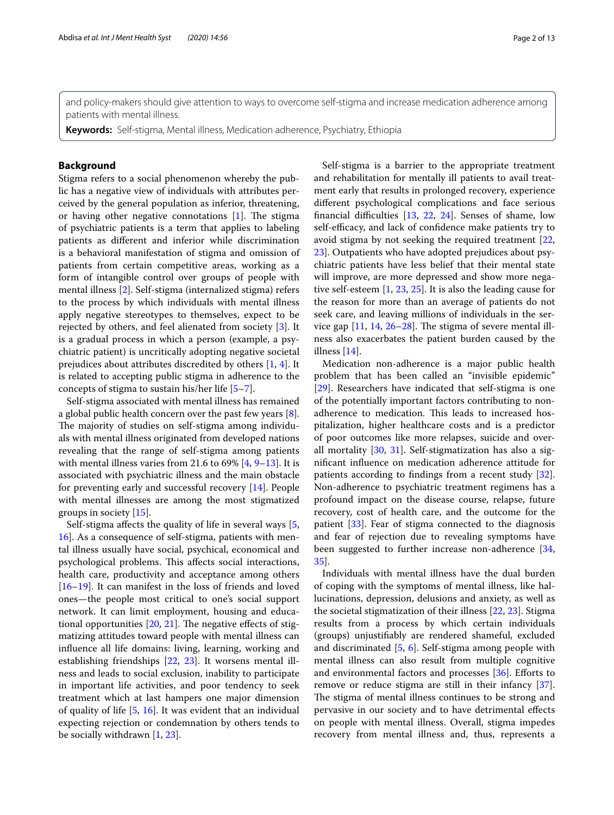and policy-makers should give attention to ways to overcome self-stigma and increase medication adherence among patients with mental illness.

**Keywords:** Self-stigma, Mental illness, Medication adherence, Psychiatry, Ethiopia

## **Background**

Stigma refers to a social phenomenon whereby the public has a negative view of individuals with attributes perceived by the general population as inferior, threatening, or having other negative connotations  $[1]$  $[1]$ . The stigma of psychiatric patients is a term that applies to labeling patients as diferent and inferior while discrimination is a behavioral manifestation of stigma and omission of patients from certain competitive areas, working as a form of intangible control over groups of people with mental illness [[2\]](#page-11-1). Self-stigma (internalized stigma) refers to the process by which individuals with mental illness apply negative stereotypes to themselves, expect to be rejected by others, and feel alienated from society [[3\]](#page-11-2). It is a gradual process in which a person (example, a psychiatric patient) is uncritically adopting negative societal prejudices about attributes discredited by others [\[1](#page-11-0), [4](#page-11-3)]. It is related to accepting public stigma in adherence to the concepts of stigma to sustain his/her life [\[5](#page-11-4)[–7](#page-11-5)].

Self-stigma associated with mental illness has remained a global public health concern over the past few years [\[8](#page-11-6)]. The majority of studies on self-stigma among individuals with mental illness originated from developed nations revealing that the range of self-stigma among patients with mental illness varies from 21.6 to  $69\%$  [\[4](#page-11-3), [9–](#page-11-7)[13](#page-11-8)]. It is associated with psychiatric illness and the main obstacle for preventing early and successful recovery [[14\]](#page-11-9). People with mental illnesses are among the most stigmatized groups in society [\[15](#page-11-10)].

Self-stigma afects the quality of life in several ways [\[5](#page-11-4), [16\]](#page-11-11). As a consequence of self-stigma, patients with mental illness usually have social, psychical, economical and psychological problems. This affects social interactions, health care, productivity and acceptance among others [[16–](#page-11-11)[19](#page-11-12)]. It can manifest in the loss of friends and loved ones—the people most critical to one's social support network. It can limit employment, housing and educational opportunities  $[20, 21]$  $[20, 21]$  $[20, 21]$  $[20, 21]$  $[20, 21]$ . The negative effects of stigmatizing attitudes toward people with mental illness can infuence all life domains: living, learning, working and establishing friendships [\[22](#page-11-15), [23\]](#page-11-16). It worsens mental illness and leads to social exclusion, inability to participate in important life activities, and poor tendency to seek treatment which at last hampers one major dimension of quality of life [\[5](#page-11-4), [16](#page-11-11)]. It was evident that an individual expecting rejection or condemnation by others tends to be socially withdrawn [\[1,](#page-11-0) [23](#page-11-16)].

Self-stigma is a barrier to the appropriate treatment and rehabilitation for mentally ill patients to avail treatment early that results in prolonged recovery, experience diferent psychological complications and face serious financial difficulties  $[13, 22, 24]$  $[13, 22, 24]$  $[13, 22, 24]$  $[13, 22, 24]$  $[13, 22, 24]$  $[13, 22, 24]$ . Senses of shame, low self-efficacy, and lack of confidence make patients try to avoid stigma by not seeking the required treatment [[22](#page-11-15), [23\]](#page-11-16). Outpatients who have adopted prejudices about psychiatric patients have less belief that their mental state will improve, are more depressed and show more negative self-esteem  $[1, 23, 25]$  $[1, 23, 25]$  $[1, 23, 25]$  $[1, 23, 25]$  $[1, 23, 25]$ . It is also the leading cause for the reason for more than an average of patients do not seek care, and leaving millions of individuals in the service gap  $[11, 14, 26-28]$  $[11, 14, 26-28]$  $[11, 14, 26-28]$  $[11, 14, 26-28]$  $[11, 14, 26-28]$ . The stigma of severe mental illness also exacerbates the patient burden caused by the illness [[14](#page-11-9)].

Medication non-adherence is a major public health problem that has been called an "invisible epidemic" [[29\]](#page-11-22). Researchers have indicated that self-stigma is one of the potentially important factors contributing to nonadherence to medication. This leads to increased hospitalization, higher healthcare costs and is a predictor of poor outcomes like more relapses, suicide and overall mortality [[30,](#page-11-23) [31](#page-11-24)]. Self-stigmatization has also a signifcant infuence on medication adherence attitude for patients according to fndings from a recent study [\[32](#page-11-25)]. Non-adherence to psychiatric treatment regimens has a profound impact on the disease course, relapse, future recovery, cost of health care, and the outcome for the patient [[33](#page-11-26)]. Fear of stigma connected to the diagnosis and fear of rejection due to revealing symptoms have been suggested to further increase non-adherence [[34](#page-11-27), [35\]](#page-11-28).

Individuals with mental illness have the dual burden of coping with the symptoms of mental illness, like hallucinations, depression, delusions and anxiety, as well as the societal stigmatization of their illness [\[22,](#page-11-15) [23](#page-11-16)]. Stigma results from a process by which certain individuals (groups) unjustifably are rendered shameful, excluded and discriminated [[5,](#page-11-4) [6](#page-11-29)]. Self-stigma among people with mental illness can also result from multiple cognitive and environmental factors and processes  $[36]$ . Efforts to remove or reduce stigma are still in their infancy [\[37](#page-11-31)]. The stigma of mental illness continues to be strong and pervasive in our society and to have detrimental efects on people with mental illness. Overall, stigma impedes recovery from mental illness and, thus, represents a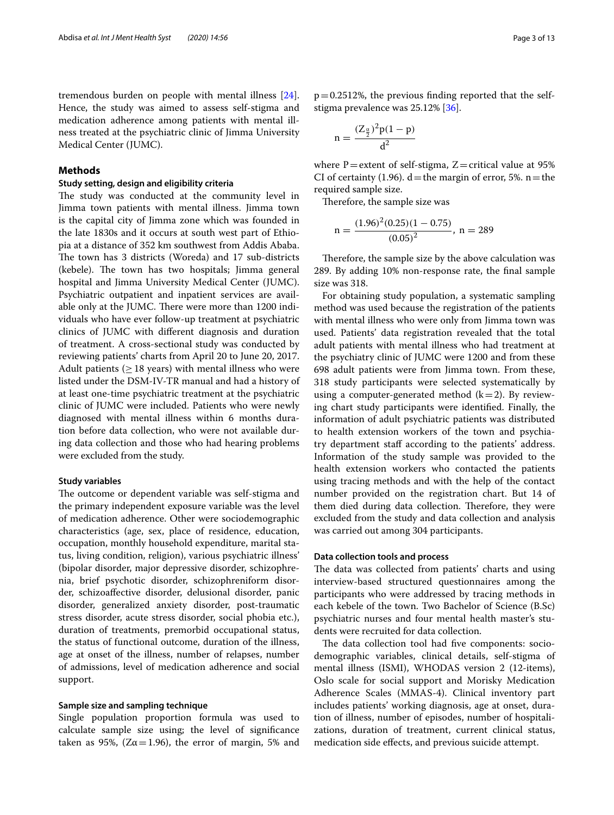tremendous burden on people with mental illness [\[24](#page-11-17)]. Hence, the study was aimed to assess self-stigma and medication adherence among patients with mental illness treated at the psychiatric clinic of Jimma University Medical Center (JUMC).

## **Methods**

## **Study setting, design and eligibility criteria**

The study was conducted at the community level in Jimma town patients with mental illness. Jimma town is the capital city of Jimma zone which was founded in the late 1830s and it occurs at south west part of Ethiopia at a distance of 352 km southwest from Addis Ababa. The town has 3 districts (Woreda) and 17 sub-districts (kebele). The town has two hospitals; Jimma general hospital and Jimma University Medical Center (JUMC). Psychiatric outpatient and inpatient services are available only at the JUMC. There were more than 1200 individuals who have ever follow-up treatment at psychiatric clinics of JUMC with diferent diagnosis and duration of treatment. A cross-sectional study was conducted by reviewing patients' charts from April 20 to June 20, 2017. Adult patients ( $\geq$  18 years) with mental illness who were listed under the DSM-IV-TR manual and had a history of at least one-time psychiatric treatment at the psychiatric clinic of JUMC were included. Patients who were newly diagnosed with mental illness within 6 months duration before data collection, who were not available during data collection and those who had hearing problems were excluded from the study.

#### **Study variables**

The outcome or dependent variable was self-stigma and the primary independent exposure variable was the level of medication adherence. Other were sociodemographic characteristics (age, sex, place of residence, education, occupation, monthly household expenditure, marital status, living condition, religion), various psychiatric illness' (bipolar disorder, major depressive disorder, schizophrenia, brief psychotic disorder, schizophreniform disorder, schizoafective disorder, delusional disorder, panic disorder, generalized anxiety disorder, post-traumatic stress disorder, acute stress disorder, social phobia etc.), duration of treatments, premorbid occupational status, the status of functional outcome, duration of the illness, age at onset of the illness, number of relapses, number of admissions, level of medication adherence and social support.

## **Sample size and sampling technique**

Single population proportion formula was used to calculate sample size using; the level of signifcance taken as 95%, ( $Z\alpha = 1.96$ ), the error of margin, 5% and  $p=0.2512%$ , the previous finding reported that the selfstigma prevalence was 25.12% [\[36](#page-11-30)].

$$
n=\frac{(Z_{\frac{\alpha}{2}})^2p(1-p)}{d^2}
$$

where  $P =$ extent of self-stigma,  $Z =$ critical value at 95% CI of certainty (1.96).  $d$  = the margin of error, 5%. n = the required sample size.

Therefore, the sample size was

$$
n = \frac{(1.96)^2 (0.25)(1 - 0.75)}{(0.05)^2}, n = 289
$$

Therefore, the sample size by the above calculation was 289. By adding 10% non-response rate, the fnal sample size was 318.

For obtaining study population, a systematic sampling method was used because the registration of the patients with mental illness who were only from Jimma town was used. Patients' data registration revealed that the total adult patients with mental illness who had treatment at the psychiatry clinic of JUMC were 1200 and from these 698 adult patients were from Jimma town. From these, 318 study participants were selected systematically by using a computer-generated method  $(k=2)$ . By reviewing chart study participants were identifed. Finally, the information of adult psychiatric patients was distributed to health extension workers of the town and psychiatry department staff according to the patients' address. Information of the study sample was provided to the health extension workers who contacted the patients using tracing methods and with the help of the contact number provided on the registration chart. But 14 of them died during data collection. Therefore, they were excluded from the study and data collection and analysis was carried out among 304 participants.

## **Data collection tools and process**

The data was collected from patients' charts and using interview-based structured questionnaires among the participants who were addressed by tracing methods in each kebele of the town. Two Bachelor of Science (B.Sc) psychiatric nurses and four mental health master's students were recruited for data collection.

The data collection tool had five components: sociodemographic variables, clinical details, self-stigma of mental illness (ISMI), WHODAS version 2 (12-items), Oslo scale for social support and Morisky Medication Adherence Scales (MMAS-4). Clinical inventory part includes patients' working diagnosis, age at onset, duration of illness, number of episodes, number of hospitalizations, duration of treatment, current clinical status, medication side efects, and previous suicide attempt.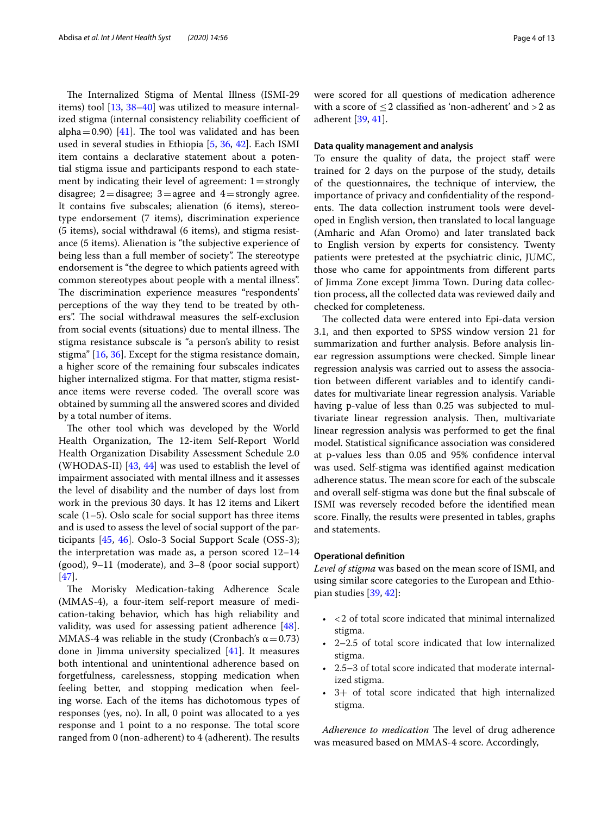The Internalized Stigma of Mental Illness (ISMI-29 items) tool [\[13](#page-11-8), [38](#page-11-32)[–40](#page-11-33)] was utilized to measure internalized stigma (internal consistency reliability coefficient of alpha=0.90) [\[41\]](#page-11-34). The tool was validated and has been used in several studies in Ethiopia [[5,](#page-11-4) [36,](#page-11-30) [42\]](#page-11-35). Each ISMI item contains a declarative statement about a potential stigma issue and participants respond to each statement by indicating their level of agreement:  $1 =$ strongly disagree;  $2 =$ disagree;  $3 =$ agree and  $4 =$ strongly agree. It contains fve subscales; alienation (6 items), stereotype endorsement (7 items), discrimination experience (5 items), social withdrawal (6 items), and stigma resistance (5 items). Alienation is "the subjective experience of being less than a full member of society". The stereotype endorsement is "the degree to which patients agreed with common stereotypes about people with a mental illness". The discrimination experience measures "respondents' perceptions of the way they tend to be treated by others". The social withdrawal measures the self-exclusion from social events (situations) due to mental illness. The stigma resistance subscale is "a person's ability to resist stigma" [[16,](#page-11-11) [36](#page-11-30)]. Except for the stigma resistance domain, a higher score of the remaining four subscales indicates higher internalized stigma. For that matter, stigma resistance items were reverse coded. The overall score was obtained by summing all the answered scores and divided by a total number of items.

The other tool which was developed by the World Health Organization, The 12-item Self-Report World Health Organization Disability Assessment Schedule 2.0 (WHODAS-II) [[43](#page-11-36), [44](#page-11-37)] was used to establish the level of impairment associated with mental illness and it assesses the level of disability and the number of days lost from work in the previous 30 days. It has 12 items and Likert scale (1–5). Oslo scale for social support has three items and is used to assess the level of social support of the participants [[45,](#page-12-0) [46\]](#page-12-1). Oslo-3 Social Support Scale (OSS-3); the interpretation was made as, a person scored 12–14 (good), 9–11 (moderate), and 3–8 (poor social support) [[47\]](#page-12-2).

The Morisky Medication-taking Adherence Scale (MMAS-4), a four-item self-report measure of medication-taking behavior, which has high reliability and validity, was used for assessing patient adherence  $[48]$  $[48]$ . MMAS-4 was reliable in the study (Cronbach's  $\alpha$  = 0.73) done in Jimma university specialized [[41\]](#page-11-34). It measures both intentional and unintentional adherence based on forgetfulness, carelessness, stopping medication when feeling better, and stopping medication when feeling worse. Each of the items has dichotomous types of responses (yes, no). In all, 0 point was allocated to a yes response and 1 point to a no response. The total score ranged from 0 (non-adherent) to 4 (adherent). The results were scored for all questions of medication adherence with a score of  $\leq$  2 classified as 'non-adherent' and > 2 as adherent [[39](#page-11-38), [41\]](#page-11-34).

## **Data quality management and analysis**

To ensure the quality of data, the project staff were trained for 2 days on the purpose of the study, details of the questionnaires, the technique of interview, the importance of privacy and confdentiality of the respondents. The data collection instrument tools were developed in English version, then translated to local language (Amharic and Afan Oromo) and later translated back to English version by experts for consistency. Twenty patients were pretested at the psychiatric clinic, JUMC, those who came for appointments from diferent parts of Jimma Zone except Jimma Town. During data collection process, all the collected data was reviewed daily and checked for completeness.

The collected data were entered into Epi-data version 3.1, and then exported to SPSS window version 21 for summarization and further analysis. Before analysis linear regression assumptions were checked. Simple linear regression analysis was carried out to assess the association between diferent variables and to identify candidates for multivariate linear regression analysis. Variable having p-value of less than 0.25 was subjected to multivariate linear regression analysis. Then, multivariate linear regression analysis was performed to get the fnal model. Statistical signifcance association was considered at p-values less than 0.05 and 95% confdence interval was used. Self-stigma was identifed against medication adherence status. The mean score for each of the subscale and overall self-stigma was done but the fnal subscale of ISMI was reversely recoded before the identifed mean score. Finally, the results were presented in tables, graphs and statements.

## **Operational defnition**

*Level of stigma* was based on the mean score of ISMI, and using similar score categories to the European and Ethiopian studies [[39,](#page-11-38) [42](#page-11-35)]:

- <2 of total score indicated that minimal internalized stigma.
- 2–2.5 of total score indicated that low internalized stigma.
- 2.5–3 of total score indicated that moderate internalized stigma.
- 3+ of total score indicated that high internalized stigma.

*Adherence to medication* The level of drug adherence was measured based on MMAS-4 score. Accordingly,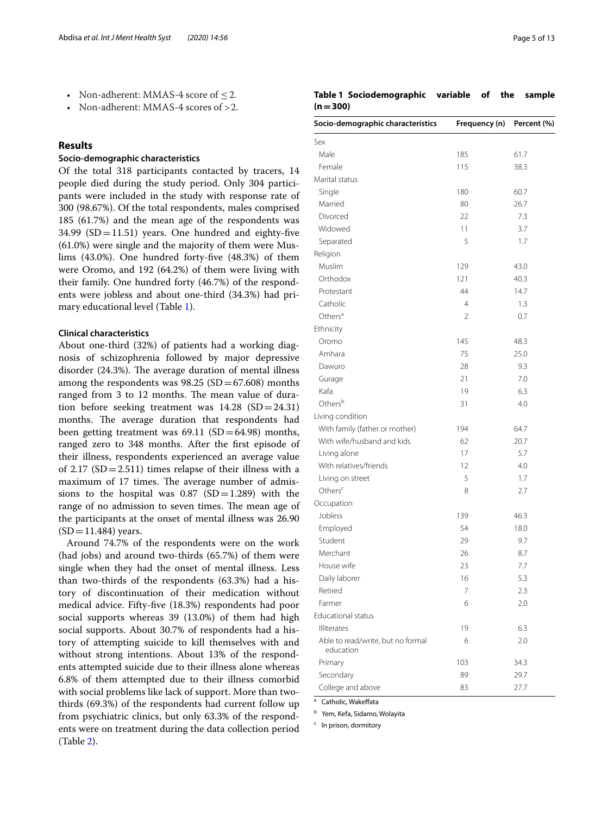- Non-adherent: MMAS-4 score of <2.
- Non-adherent: MMAS-4 scores of >2.

## **Results**

## **Socio‑demographic characteristics**

Of the total 318 participants contacted by tracers, 14 people died during the study period. Only 304 participants were included in the study with response rate of 300 (98.67%). Of the total respondents, males comprised 185 (61.7%) and the mean age of the respondents was  $34.99$  (SD=11.51) years. One hundred and eighty-five (61.0%) were single and the majority of them were Muslims (43.0%). One hundred forty-fve (48.3%) of them were Oromo, and 192 (64.2%) of them were living with their family. One hundred forty (46.7%) of the respondents were jobless and about one-third (34.3%) had primary educational level (Table [1\)](#page-4-0).

## **Clinical characteristics**

About one-third (32%) of patients had a working diagnosis of schizophrenia followed by major depressive disorder (24.3%). The average duration of mental illness among the respondents was  $98.25$  (SD=67.608) months ranged from 3 to 12 months. The mean value of duration before seeking treatment was  $14.28$  (SD=24.31) months. The average duration that respondents had been getting treatment was  $69.11$  (SD=64.98) months, ranged zero to 348 months. After the frst episode of their illness, respondents experienced an average value of 2.17  $(SD=2.511)$  times relapse of their illness with a maximum of 17 times. The average number of admissions to the hospital was  $0.87$  (SD=1.289) with the range of no admission to seven times. The mean age of the participants at the onset of mental illness was 26.90  $(SD=11.484)$  years.

Around 74.7% of the respondents were on the work (had jobs) and around two-thirds (65.7%) of them were single when they had the onset of mental illness. Less than two-thirds of the respondents (63.3%) had a history of discontinuation of their medication without medical advice. Fifty-fve (18.3%) respondents had poor social supports whereas 39 (13.0%) of them had high social supports. About 30.7% of respondents had a history of attempting suicide to kill themselves with and without strong intentions. About 13% of the respondents attempted suicide due to their illness alone whereas 6.8% of them attempted due to their illness comorbid with social problems like lack of support. More than twothirds (69.3%) of the respondents had current follow up from psychiatric clinics, but only 63.3% of the respondents were on treatment during the data collection period (Table [2](#page-5-0)).

## <span id="page-4-0"></span>**Table 1 Sociodemographic variable of the sample (n=300)**

| Socio-demographic characteristics              | Frequency (n)  | Percent (%) |
|------------------------------------------------|----------------|-------------|
| Sex                                            |                |             |
| Male                                           | 185            | 61.7        |
| Female                                         | 115            | 38.3        |
| Marital status                                 |                |             |
| Single                                         | 180            | 60.7        |
| Married                                        | 80             | 26.7        |
| Divorced                                       | 22             | 7.3         |
| Widowed                                        | 11             | 3.7         |
| Separated                                      | 5              | 1.7         |
| Religion                                       |                |             |
| Muslim                                         | 129            | 43.0        |
| Orthodox                                       | 121            | 40.3        |
| Protestant                                     | 44             | 14.7        |
| Catholic                                       | 4              | 1.3         |
| Others <sup>a</sup>                            | $\overline{2}$ | 0.7         |
| Ethnicity                                      |                |             |
| Oromo                                          | 145            | 48.3        |
| Amhara                                         | 75             | 25.0        |
| Dawuro                                         | 28             | 9.3         |
| Gurage                                         | 21             | 7.0         |
| Kafa                                           | 19             | 6.3         |
| Othersb                                        | 31             | 4.0         |
| Living condition                               |                |             |
| With family (father or mother)                 | 194            | 64.7        |
| With wife/husband and kids                     | 62             | 20.7        |
| Living alone                                   | 17             | 5.7         |
| With relatives/friends                         | 12             | 4.0         |
| Living on street                               | 5              | 1.7         |
| Others <sup>c</sup>                            | 8              | 2.7         |
| Occupation                                     |                |             |
| Jobless                                        | 139            | 46.3        |
| Employed                                       | 54             | 18.0        |
| Student                                        | 29             | 9.7         |
| Merchant                                       | 26             | 8.7         |
| House wife                                     |                | 7.7         |
|                                                | 23             |             |
| Daily laborer                                  | 16             | 5.3         |
| Retired                                        | 7              | 2.3         |
| Farmer                                         | 6              | 2.0         |
| <b>Educational status</b>                      |                |             |
| <b>Illiterates</b>                             | 19             | 6.3         |
| Able to read/write, but no formal<br>education | 6              | 2.0         |
| Primary                                        | 103            | 34.3        |
| Secondary                                      | 89             | 29.7        |
| College and above                              | 83             | 27.7        |
|                                                |                |             |

Catholic, Wakeffata

b Yem, Kefa, Sidamo, Wolayita

<sup>c</sup> In prison, dormitory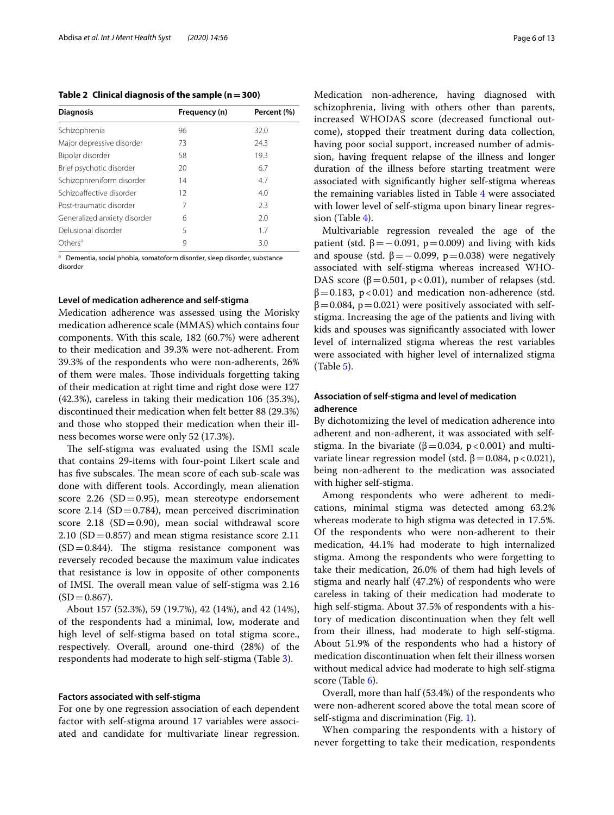<span id="page-5-0"></span>**Table 2 Clinical diagnosis of the sample (n=300)**

| <b>Diagnosis</b>             | Frequency (n) | Percent (%) |
|------------------------------|---------------|-------------|
| Schizophrenia                | 96            | 32.0        |
| Major depressive disorder    | 73            | 24.3        |
| Bipolar disorder             | 58            | 19.3        |
| Brief psychotic disorder     | 20            | 6.7         |
| Schizophreniform disorder    | 14            | 4.7         |
| Schizoaffective disorder     | 12            | 4.0         |
| Post-traumatic disorder      | 7             | 2.3         |
| Generalized anxiety disorder | 6             | 2.0         |
| Delusional disorder          | 5             | 1.7         |
| Others <sup>a</sup>          | 9             | 3.0         |

<sup>a</sup> Dementia, social phobia, somatoform disorder, sleep disorder, substance disorder

#### **Level of medication adherence and self‑stigma**

Medication adherence was assessed using the Morisky medication adherence scale (MMAS) which contains four components. With this scale, 182 (60.7%) were adherent to their medication and 39.3% were not-adherent. From 39.3% of the respondents who were non-adherents, 26% of them were males. Those individuals forgetting taking of their medication at right time and right dose were 127 (42.3%), careless in taking their medication 106 (35.3%), discontinued their medication when felt better 88 (29.3%) and those who stopped their medication when their illness becomes worse were only 52 (17.3%).

The self-stigma was evaluated using the ISMI scale that contains 29-items with four-point Likert scale and has five subscales. The mean score of each sub-scale was done with diferent tools. Accordingly, mean alienation score 2.26  $(SD=0.95)$ , mean stereotype endorsement score 2.14 ( $SD = 0.784$ ), mean perceived discrimination score 2.18  $(SD=0.90)$ , mean social withdrawal score  $2.10$  (SD = 0.857) and mean stigma resistance score 2.11  $(SD=0.844)$ . The stigma resistance component was reversely recoded because the maximum value indicates that resistance is low in opposite of other components of IMSI. The overall mean value of self-stigma was 2.16  $(SD = 0.867)$ .

About 157 (52.3%), 59 (19.7%), 42 (14%), and 42 (14%), of the respondents had a minimal, low, moderate and high level of self-stigma based on total stigma score., respectively. Overall, around one-third (28%) of the respondents had moderate to high self-stigma (Table [3\)](#page-6-0).

### **Factors associated with self‑stigma**

For one by one regression association of each dependent factor with self-stigma around 17 variables were associated and candidate for multivariate linear regression. Medication non-adherence, having diagnosed with schizophrenia, living with others other than parents, increased WHODAS score (decreased functional outcome), stopped their treatment during data collection, having poor social support, increased number of admission, having frequent relapse of the illness and longer duration of the illness before starting treatment were associated with signifcantly higher self-stigma whereas the remaining variables listed in Table [4](#page-7-0) were associated with lower level of self-stigma upon binary linear regression (Table [4\)](#page-7-0).

Multivariable regression revealed the age of the patient (std.  $β = 0.091$ ,  $p = 0.009$ ) and living with kids and spouse (std.  $β = -0.099$ ,  $p = 0.038$ ) were negatively associated with self-stigma whereas increased WHO-DAS score ( $\beta$ =0.501, p<0.01), number of relapses (std.  $\beta$ =0.183, p<0.01) and medication non-adherence (std.  $\beta$ =0.084, p=0.021) were positively associated with selfstigma. Increasing the age of the patients and living with kids and spouses was signifcantly associated with lower level of internalized stigma whereas the rest variables were associated with higher level of internalized stigma (Table [5\)](#page-7-1).

## **Association of self‑stigma and level of medication adherence**

By dichotomizing the level of medication adherence into adherent and non-adherent, it was associated with selfstigma. In the bivariate ( $\beta$ =0.034, p<0.001) and multivariate linear regression model (std. β = 0.084, p < 0.021), being non-adherent to the medication was associated with higher self-stigma.

Among respondents who were adherent to medications, minimal stigma was detected among 63.2% whereas moderate to high stigma was detected in 17.5%. Of the respondents who were non-adherent to their medication, 44.1% had moderate to high internalized stigma. Among the respondents who were forgetting to take their medication, 26.0% of them had high levels of stigma and nearly half (47.2%) of respondents who were careless in taking of their medication had moderate to high self-stigma. About 37.5% of respondents with a history of medication discontinuation when they felt well from their illness, had moderate to high self-stigma. About 51.9% of the respondents who had a history of medication discontinuation when felt their illness worsen without medical advice had moderate to high self-stigma score (Table [6](#page-8-0)).

Overall, more than half (53.4%) of the respondents who were non-adherent scored above the total mean score of self-stigma and discrimination (Fig. [1\)](#page-8-1).

When comparing the respondents with a history of never forgetting to take their medication, respondents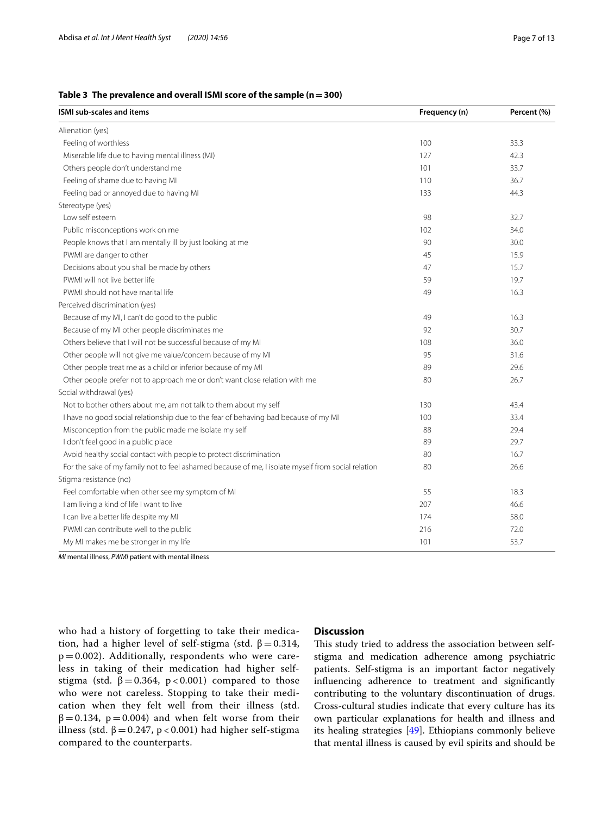## <span id="page-6-0"></span>**Table 3 The prevalence and overall ISMI score of the sample (n=300)**

| <b>ISMI sub-scales and items</b>                                                                   | Frequency (n) | Percent (%) |
|----------------------------------------------------------------------------------------------------|---------------|-------------|
| Alienation (yes)                                                                                   |               |             |
| Feeling of worthless                                                                               | 100           | 33.3        |
| Miserable life due to having mental illness (MI)                                                   | 127           | 42.3        |
| Others people don't understand me                                                                  | 101           | 33.7        |
| Feeling of shame due to having MI                                                                  | 110           | 36.7        |
| Feeling bad or annoyed due to having MI                                                            | 133           | 44.3        |
| Stereotype (yes)                                                                                   |               |             |
| Low self esteem                                                                                    | 98            | 32.7        |
| Public misconceptions work on me                                                                   | 102           | 34.0        |
| People knows that I am mentally ill by just looking at me                                          | 90            | 30.0        |
| PWMI are danger to other                                                                           | 45            | 15.9        |
| Decisions about you shall be made by others                                                        | 47            | 15.7        |
| PWMI will not live better life                                                                     | 59            | 19.7        |
| PWMI should not have marital life                                                                  | 49            | 16.3        |
| Perceived discrimination (yes)                                                                     |               |             |
| Because of my MI, I can't do good to the public                                                    | 49            | 16.3        |
| Because of my MI other people discriminates me                                                     | 92            | 30.7        |
| Others believe that I will not be successful because of my MI                                      | 108           | 36.0        |
| Other people will not give me value/concern because of my MI                                       | 95            | 31.6        |
| Other people treat me as a child or inferior because of my MI                                      | 89            | 29.6        |
| Other people prefer not to approach me or don't want close relation with me                        | 80            | 26.7        |
| Social withdrawal (yes)                                                                            |               |             |
| Not to bother others about me, am not talk to them about my self                                   | 130           | 43.4        |
| I have no good social relationship due to the fear of behaving bad because of my MI                | 100           | 33.4        |
| Misconception from the public made me isolate my self                                              | 88            | 29.4        |
| I don't feel good in a public place                                                                | 89            | 29.7        |
| Avoid healthy social contact with people to protect discrimination                                 | 80            | 16.7        |
| For the sake of my family not to feel ashamed because of me, I isolate myself from social relation | 80            | 26.6        |
| Stigma resistance (no)                                                                             |               |             |
| Feel comfortable when other see my symptom of MI                                                   | 55            | 18.3        |
| I am living a kind of life I want to live                                                          | 207           | 46.6        |
| I can live a better life despite my MI                                                             | 174           | 58.0        |
| PWMI can contribute well to the public                                                             | 216           | 72.0        |
| My MI makes me be stronger in my life                                                              | 101           | 53.7        |

*MI* mental illness, *PWMI* patient with mental illness

who had a history of forgetting to take their medication, had a higher level of self-stigma (std. β = 0.314,  $p = 0.002$ ). Additionally, respondents who were careless in taking of their medication had higher selfstigma (std.  $β = 0.364$ ,  $p < 0.001$ ) compared to those who were not careless. Stopping to take their medication when they felt well from their illness (std.  $\beta = 0.134$ , p = 0.004) and when felt worse from their illness (std. β = 0.247, p < 0.001) had higher self-stigma compared to the counterparts.

## **Discussion**

This study tried to address the association between selfstigma and medication adherence among psychiatric patients. Self-stigma is an important factor negatively infuencing adherence to treatment and signifcantly contributing to the voluntary discontinuation of drugs. Cross-cultural studies indicate that every culture has its own particular explanations for health and illness and its healing strategies [[49\]](#page-12-4). Ethiopians commonly believe that mental illness is caused by evil spirits and should be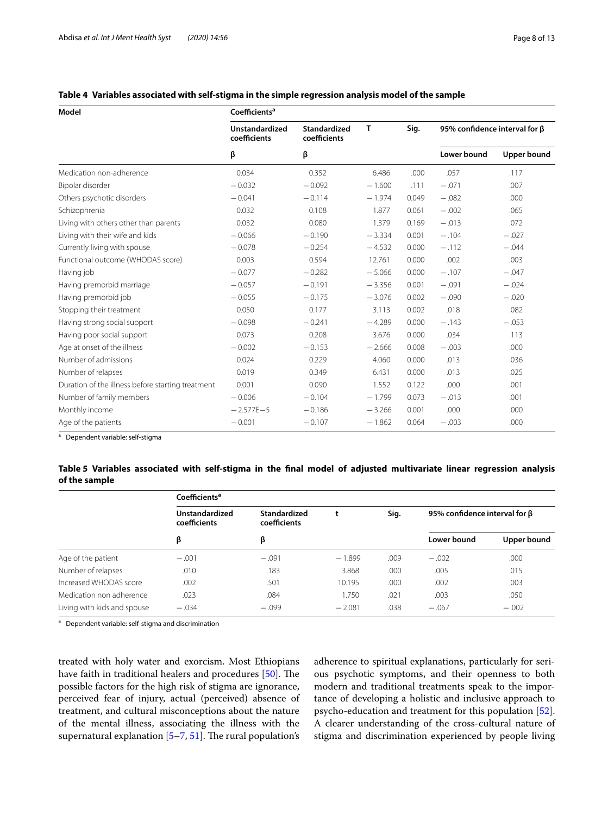| Model                                             | Coefficients <sup>a</sup>             |                                               |          |       |                                     |             |  |
|---------------------------------------------------|---------------------------------------|-----------------------------------------------|----------|-------|-------------------------------------|-------------|--|
|                                                   | <b>Unstandardized</b><br>coefficients | <b>Standardized</b><br>T<br>coefficients<br>β |          | Sig.  | 95% confidence interval for $\beta$ |             |  |
|                                                   | β                                     |                                               |          |       | Lower bound                         | Upper bound |  |
| Medication non-adherence                          | 0.034                                 | 0.352                                         | 6.486    | .000  | .057                                | .117        |  |
| Bipolar disorder                                  | $-0.032$                              | $-0.092$                                      | $-1.600$ | .111  | $-.071$                             | .007        |  |
| Others psychotic disorders                        | $-0.041$                              | $-0.114$                                      | $-1.974$ | 0.049 | $-.082$                             | .000        |  |
| Schizophrenia                                     | 0.032                                 | 0.108                                         | 1.877    | 0.061 | $-.002$                             | .065        |  |
| Living with others other than parents             | 0.032                                 | 0.080                                         | 1.379    | 0.169 | $-.013$                             | .072        |  |
| Living with their wife and kids                   | $-0.066$                              | $-0.190$                                      | $-3.334$ | 0.001 | $-.104$                             | $-.027$     |  |
| Currently living with spouse                      | $-0.078$                              | $-0.254$                                      | $-4.532$ | 0.000 | $-.112$                             | $-.044$     |  |
| Functional outcome (WHODAS score)                 | 0.003                                 | 0.594                                         | 12.761   | 0.000 | .002                                | .003        |  |
| Having job                                        | $-0.077$                              | $-0.282$                                      | $-5.066$ | 0.000 | $-.107$                             | $-.047$     |  |
| Having premorbid marriage                         | $-0.057$                              | $-0.191$                                      | $-3.356$ | 0.001 | $-.091$                             | $-.024$     |  |
| Having premorbid job                              | $-0.055$                              | $-0.175$                                      | $-3.076$ | 0.002 | $-.090$                             | $-.020$     |  |
| Stopping their treatment                          | 0.050                                 | 0.177                                         | 3.113    | 0.002 | .018                                | .082        |  |
| Having strong social support                      | $-0.098$                              | $-0.241$                                      | $-4.289$ | 0.000 | $-.143$                             | $-.053$     |  |
| Having poor social support                        | 0.073                                 | 0.208                                         | 3.676    | 0.000 | .034                                | .113        |  |
| Age at onset of the illness                       | $-0.002$                              | $-0.153$                                      | $-2.666$ | 0.008 | $-.003$                             | .000        |  |
| Number of admissions                              | 0.024                                 | 0.229                                         | 4.060    | 0.000 | .013                                | .036        |  |
| Number of relapses                                | 0.019                                 | 0.349                                         | 6.431    | 0.000 | .013                                | .025        |  |
| Duration of the illness before starting treatment | 0.001                                 | 0.090                                         | 1.552    | 0.122 | .000                                | .001        |  |
| Number of family members                          | $-0.006$                              | $-0.104$                                      | $-1.799$ | 0.073 | $-.013$                             | .001        |  |
| Monthly income                                    | $-2.577E-5$                           | $-0.186$                                      | $-3.266$ | 0.001 | .000                                | .000        |  |
| Age of the patients                               | $-0.001$                              | $-0.107$                                      | $-1.862$ | 0.064 | $-.003$                             | .000        |  |

## <span id="page-7-0"></span>**Table 4 Variables associated with self-stigma in the simple regression analysis model of the sample**

a Dependent variable: self-stigma

## <span id="page-7-1"></span>**Table 5 Variables associated with self-stigma in the fnal model of adjusted multivariate linear regression analysis of the sample**

|                             | Coefficients <sup>a</sup>             |                              |          |      |                                     |             |
|-----------------------------|---------------------------------------|------------------------------|----------|------|-------------------------------------|-------------|
|                             | <b>Unstandardized</b><br>coefficients | Standardized<br>coefficients |          | Sig. | 95% confidence interval for $\beta$ |             |
|                             | ß                                     | β                            |          |      | Lower bound                         | Upper bound |
| Age of the patient          | $-.001$                               | $-.091$                      | $-1.899$ | .009 | $-.002$                             | .000        |
| Number of relapses          | .010                                  | .183                         | 3.868    | .000 | .005                                | .015        |
| Increased WHODAS score      | .002                                  | .501                         | 10.195   | .000 | .002                                | .003        |
| Medication non adherence    | .023                                  | .084                         | 1.750    | .021 | .003                                | .050        |
| Living with kids and spouse | $-.034$                               | $-.099$                      | $-2.081$ | .038 | $-.067$                             | $-.002$     |

a Dependent variable: self-stigma and discrimination

treated with holy water and exorcism. Most Ethiopians have faith in traditional healers and procedures  $[50]$  $[50]$ . The possible factors for the high risk of stigma are ignorance, perceived fear of injury, actual (perceived) absence of treatment, and cultural misconceptions about the nature of the mental illness, associating the illness with the supernatural explanation  $[5-7, 51]$  $[5-7, 51]$  $[5-7, 51]$ . The rural population's adherence to spiritual explanations, particularly for serious psychotic symptoms, and their openness to both modern and traditional treatments speak to the importance of developing a holistic and inclusive approach to psycho-education and treatment for this population [\[52](#page-12-7)]. A clearer understanding of the cross-cultural nature of stigma and discrimination experienced by people living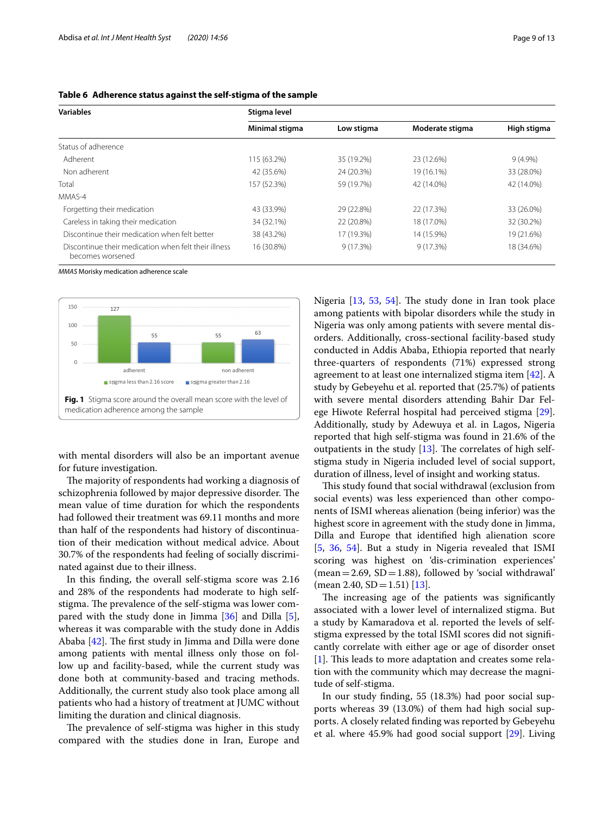| <b>Variables</b>                                                         | Stigma level   |            |                 |             |  |  |
|--------------------------------------------------------------------------|----------------|------------|-----------------|-------------|--|--|
|                                                                          | Minimal stigma | Low stigma | Moderate stigma | High stigma |  |  |
| Status of adherence                                                      |                |            |                 |             |  |  |
| Adherent                                                                 | 115 (63.2%)    | 35 (19.2%) | 23 (12.6%)      | $9(4.9\%)$  |  |  |
| Non adherent                                                             | 42 (35.6%)     | 24 (20.3%) | 19 (16.1%)      | 33 (28.0%)  |  |  |
| Total                                                                    | 157 (52.3%)    | 59 (19.7%) | 42 (14.0%)      | 42 (14.0%)  |  |  |
| MMAS-4                                                                   |                |            |                 |             |  |  |
| Forgetting their medication                                              | 43 (33.9%)     | 29 (22.8%) | 22 (17.3%)      | 33 (26.0%)  |  |  |
| Careless in taking their medication                                      | 34 (32.1%)     | 22 (20.8%) | 18 (17.0%)      | 32 (30.2%)  |  |  |
| Discontinue their medication when felt better                            | 38 (43.2%)     | 17 (19.3%) | 14 (15.9%)      | 19 (21.6%)  |  |  |
| Discontinue their medication when felt their illness<br>becomes worsened | 16 (30.8%)     | 9(17.3%)   | 9(17.3%)        | 18 (34.6%)  |  |  |

<span id="page-8-0"></span>

|  |  |  |  |  | Table 6 Adherence status against the self-stigma of the sample |
|--|--|--|--|--|----------------------------------------------------------------|
|--|--|--|--|--|----------------------------------------------------------------|

*MMAS* Morisky medication adherence scale



<span id="page-8-1"></span>with mental disorders will also be an important avenue for future investigation.

The majority of respondents had working a diagnosis of schizophrenia followed by major depressive disorder. The mean value of time duration for which the respondents had followed their treatment was 69.11 months and more than half of the respondents had history of discontinuation of their medication without medical advice. About 30.7% of the respondents had feeling of socially discriminated against due to their illness.

In this fnding, the overall self-stigma score was 2.16 and 28% of the respondents had moderate to high selfstigma. The prevalence of the self-stigma was lower compared with the study done in Jimma [[36\]](#page-11-30) and Dilla [\[5](#page-11-4)], whereas it was comparable with the study done in Addis Ababa  $[42]$  $[42]$ . The first study in Jimma and Dilla were done among patients with mental illness only those on follow up and facility-based, while the current study was done both at community-based and tracing methods. Additionally, the current study also took place among all patients who had a history of treatment at JUMC without limiting the duration and clinical diagnosis.

The prevalence of self-stigma was higher in this study compared with the studies done in Iran, Europe and Nigeria  $[13, 53, 54]$  $[13, 53, 54]$  $[13, 53, 54]$  $[13, 53, 54]$  $[13, 53, 54]$ . The study done in Iran took place among patients with bipolar disorders while the study in Nigeria was only among patients with severe mental disorders. Additionally, cross-sectional facility-based study conducted in Addis Ababa, Ethiopia reported that nearly three-quarters of respondents (71%) expressed strong agreement to at least one internalized stigma item [\[42\]](#page-11-35). A study by Gebeyehu et al. reported that (25.7%) of patients with severe mental disorders attending Bahir Dar Felege Hiwote Referral hospital had perceived stigma [\[29](#page-11-22)]. Additionally, study by Adewuya et al. in Lagos, Nigeria reported that high self-stigma was found in 21.6% of the outpatients in the study  $[13]$  $[13]$ . The correlates of high selfstigma study in Nigeria included level of social support, duration of illness, level of insight and working status.

This study found that social withdrawal (exclusion from social events) was less experienced than other components of ISMI whereas alienation (being inferior) was the highest score in agreement with the study done in Jimma, Dilla and Europe that identifed high alienation score [[5,](#page-11-4) [36](#page-11-30), [54](#page-12-9)]. But a study in Nigeria revealed that ISMI scoring was highest on 'dis-crimination experiences' (mean = 2.69,  $SD = 1.88$ ), followed by 'social withdrawal'  $(\text{mean } 2.40, SD = 1.51)$  [\[13](#page-11-8)].

The increasing age of the patients was significantly associated with a lower level of internalized stigma. But a study by Kamaradova et al. reported the levels of selfstigma expressed by the total ISMI scores did not signifcantly correlate with either age or age of disorder onset  $[1]$  $[1]$ . This leads to more adaptation and creates some relation with the community which may decrease the magnitude of self-stigma.

In our study fnding, 55 (18.3%) had poor social supports whereas 39 (13.0%) of them had high social supports. A closely related fnding was reported by Gebeyehu et al. where 45.9% had good social support [[29\]](#page-11-22). Living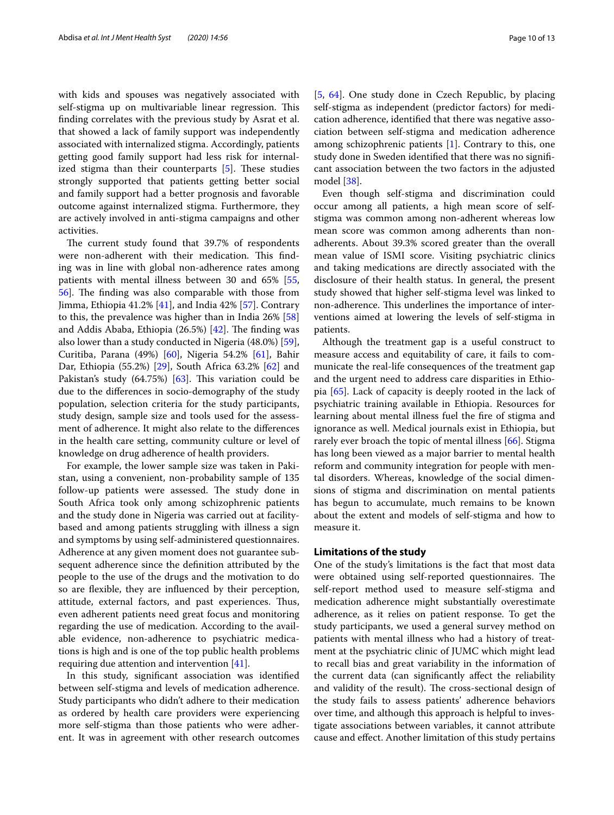with kids and spouses was negatively associated with self-stigma up on multivariable linear regression. This fnding correlates with the previous study by Asrat et al. that showed a lack of family support was independently associated with internalized stigma. Accordingly, patients getting good family support had less risk for internalized stigma than their counterparts  $[5]$  $[5]$ . These studies strongly supported that patients getting better social and family support had a better prognosis and favorable outcome against internalized stigma. Furthermore, they are actively involved in anti-stigma campaigns and other activities.

The current study found that 39.7% of respondents were non-adherent with their medication. This finding was in line with global non-adherence rates among patients with mental illness between 30 and 65% [\[55](#page-12-10), 56. The finding was also comparable with those from Jimma, Ethiopia 41.2% [\[41](#page-11-34)], and India 42% [[57](#page-12-12)]. Contrary to this, the prevalence was higher than in India 26% [[58](#page-12-13)] and Addis Ababa, Ethiopia  $(26.5%)$   $[42]$  $[42]$ . The finding was also lower than a study conducted in Nigeria (48.0%) [\[59](#page-12-14)], Curitiba, Parana (49%) [[60](#page-12-15)], Nigeria 54.2% [\[61](#page-12-16)], Bahir Dar, Ethiopia (55.2%) [\[29](#page-11-22)], South Africa 63.2% [[62\]](#page-12-17) and Pakistan's study  $(64.75%)$   $[63]$  $[63]$ . This variation could be due to the diferences in socio-demography of the study population, selection criteria for the study participants, study design, sample size and tools used for the assessment of adherence. It might also relate to the diferences in the health care setting, community culture or level of knowledge on drug adherence of health providers.

For example, the lower sample size was taken in Pakistan, using a convenient, non-probability sample of 135 follow-up patients were assessed. The study done in South Africa took only among schizophrenic patients and the study done in Nigeria was carried out at facilitybased and among patients struggling with illness a sign and symptoms by using self-administered questionnaires. Adherence at any given moment does not guarantee subsequent adherence since the defnition attributed by the people to the use of the drugs and the motivation to do so are fexible, they are infuenced by their perception, attitude, external factors, and past experiences. Thus, even adherent patients need great focus and monitoring regarding the use of medication. According to the available evidence, non-adherence to psychiatric medications is high and is one of the top public health problems requiring due attention and intervention [\[41](#page-11-34)].

In this study, signifcant association was identifed between self-stigma and levels of medication adherence. Study participants who didn't adhere to their medication as ordered by health care providers were experiencing more self-stigma than those patients who were adherent. It was in agreement with other research outcomes [[5,](#page-11-4) [64](#page-12-19)]. One study done in Czech Republic, by placing self-stigma as independent (predictor factors) for medication adherence, identifed that there was negative association between self-stigma and medication adherence among schizophrenic patients [\[1](#page-11-0)]. Contrary to this, one study done in Sweden identifed that there was no signifcant association between the two factors in the adjusted model [[38\]](#page-11-32).

Even though self-stigma and discrimination could occur among all patients, a high mean score of selfstigma was common among non-adherent whereas low mean score was common among adherents than nonadherents. About 39.3% scored greater than the overall mean value of ISMI score. Visiting psychiatric clinics and taking medications are directly associated with the disclosure of their health status. In general, the present study showed that higher self-stigma level was linked to non-adherence. This underlines the importance of interventions aimed at lowering the levels of self-stigma in patients.

Although the treatment gap is a useful construct to measure access and equitability of care, it fails to communicate the real-life consequences of the treatment gap and the urgent need to address care disparities in Ethiopia [[65](#page-12-20)]. Lack of capacity is deeply rooted in the lack of psychiatric training available in Ethiopia. Resources for learning about mental illness fuel the fre of stigma and ignorance as well. Medical journals exist in Ethiopia, but rarely ever broach the topic of mental illness [\[66](#page-12-21)]. Stigma has long been viewed as a major barrier to mental health reform and community integration for people with mental disorders. Whereas, knowledge of the social dimensions of stigma and discrimination on mental patients has begun to accumulate, much remains to be known about the extent and models of self-stigma and how to measure it.

## **Limitations of the study**

One of the study's limitations is the fact that most data were obtained using self-reported questionnaires. The self-report method used to measure self-stigma and medication adherence might substantially overestimate adherence, as it relies on patient response. To get the study participants, we used a general survey method on patients with mental illness who had a history of treatment at the psychiatric clinic of JUMC which might lead to recall bias and great variability in the information of the current data (can signifcantly afect the reliability and validity of the result). The cross-sectional design of the study fails to assess patients' adherence behaviors over time, and although this approach is helpful to investigate associations between variables, it cannot attribute cause and efect. Another limitation of this study pertains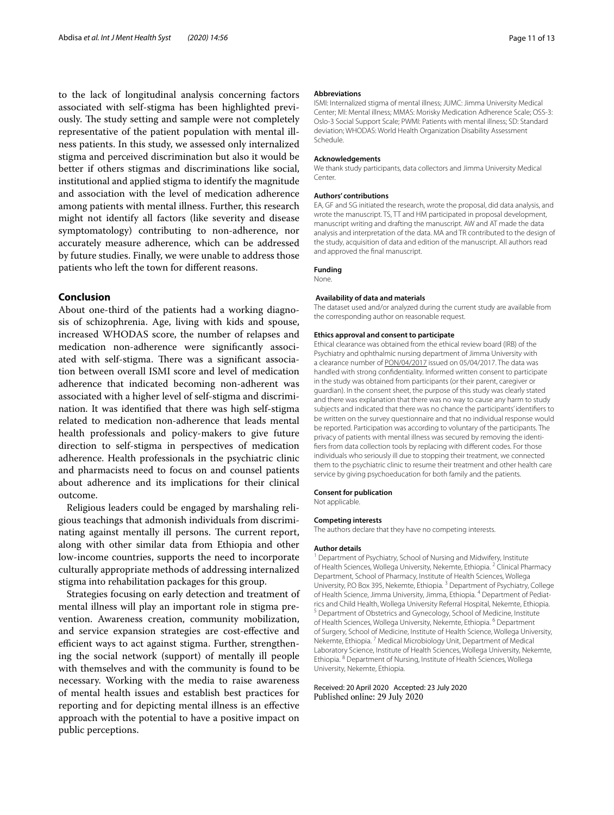to the lack of longitudinal analysis concerning factors associated with self-stigma has been highlighted previously. The study setting and sample were not completely representative of the patient population with mental illness patients. In this study, we assessed only internalized stigma and perceived discrimination but also it would be better if others stigmas and discriminations like social, institutional and applied stigma to identify the magnitude and association with the level of medication adherence among patients with mental illness. Further, this research might not identify all factors (like severity and disease symptomatology) contributing to non-adherence, nor accurately measure adherence, which can be addressed by future studies. Finally, we were unable to address those patients who left the town for diferent reasons.

## **Conclusion**

About one-third of the patients had a working diagnosis of schizophrenia. Age, living with kids and spouse, increased WHODAS score, the number of relapses and medication non-adherence were signifcantly associated with self-stigma. There was a significant association between overall ISMI score and level of medication adherence that indicated becoming non-adherent was associated with a higher level of self-stigma and discrimination. It was identifed that there was high self-stigma related to medication non-adherence that leads mental health professionals and policy-makers to give future direction to self-stigma in perspectives of medication adherence. Health professionals in the psychiatric clinic and pharmacists need to focus on and counsel patients about adherence and its implications for their clinical outcome.

Religious leaders could be engaged by marshaling religious teachings that admonish individuals from discriminating against mentally ill persons. The current report, along with other similar data from Ethiopia and other low-income countries, supports the need to incorporate culturally appropriate methods of addressing internalized stigma into rehabilitation packages for this group.

Strategies focusing on early detection and treatment of mental illness will play an important role in stigma prevention. Awareness creation, community mobilization, and service expansion strategies are cost-efective and efficient ways to act against stigma. Further, strengthening the social network (support) of mentally ill people with themselves and with the community is found to be necessary. Working with the media to raise awareness of mental health issues and establish best practices for reporting and for depicting mental illness is an efective approach with the potential to have a positive impact on public perceptions.

#### **Abbreviations**

ISMI: Internalized stigma of mental illness; JUMC: Jimma University Medical Center; MI: Mental illness; MMAS: Morisky Medication Adherence Scale; OSS-3: Oslo-3 Social Support Scale; PWMI: Patients with mental illness; SD: Standard deviation; WHODAS: World Health Organization Disability Assessment Schedule.

#### **Acknowledgements**

We thank study participants, data collectors and Jimma University Medical Center

#### **Authors' contributions**

EA, GF and SG initiated the research, wrote the proposal, did data analysis, and wrote the manuscript. TS, TT and HM participated in proposal development, manuscript writing and drafting the manuscript. AW and AT made the data analysis and interpretation of the data. MA and TR contributed to the design of the study, acquisition of data and edition of the manuscript. All authors read and approved the fnal manuscript.

#### **Funding**

None.

#### **Availability of data and materials**

The dataset used and/or analyzed during the current study are available from the corresponding author on reasonable request.

#### **Ethics approval and consent to participate**

Ethical clearance was obtained from the ethical review board (IRB) of the Psychiatry and ophthalmic nursing department of Jimma University with a clearance number of PON/04/2017 issued on 05/04/2017. The data was handled with strong confdentiality. Informed written consent to participate in the study was obtained from participants (or their parent, caregiver or guardian). In the consent sheet, the purpose of this study was clearly stated and there was explanation that there was no way to cause any harm to study subjects and indicated that there was no chance the participants' identifers to be written on the survey questionnaire and that no individual response would be reported. Participation was according to voluntary of the participants. The privacy of patients with mental illness was secured by removing the identifers from data collection tools by replacing with diferent codes. For those individuals who seriously ill due to stopping their treatment, we connected them to the psychiatric clinic to resume their treatment and other health care service by giving psychoeducation for both family and the patients.

#### **Consent for publication**

Not applicable.

#### **Competing interests**

The authors declare that they have no competing interests.

#### **Author details**

<sup>1</sup> Department of Psychiatry, School of Nursing and Midwifery, Institute of Health Sciences, Wollega University, Nekemte, Ethiopia.<sup>2</sup> Clinical Pharmacy Department, School of Pharmacy, Institute of Health Sciences, Wollega University, P.O Box 395, Nekemte, Ethiopia. 3 Department of Psychiatry, College of Health Science, Jimma University, Jimma, Ethiopia. <sup>4</sup> Department of Pediatrics and Child Health, Wollega University Referral Hospital, Nekemte, Ethiopia. <sup>5</sup> Department of Obstetrics and Gynecology, School of Medicine, Institute of Health Sciences, Wollega University, Nekemte, Ethiopia. <sup>6</sup> Department of Surgery, School of Medicine, Institute of Health Science, Wollega University, Nekemte, Ethiopia.<sup>7</sup> Medical Microbiology Unit, Department of Medical Laboratory Science, Institute of Health Sciences, Wollega University, Nekemte, Ethiopia. 8 Department of Nursing, Institute of Health Sciences, Wollega University, Nekemte, Ethiopia.

Received: 20 April 2020 Accepted: 23 July 2020Published online: 29 July 2020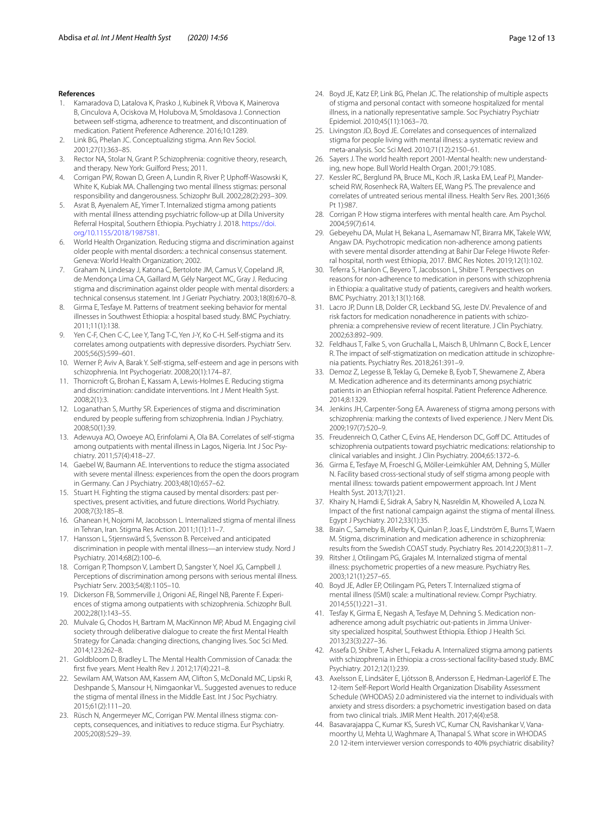#### **References**

- <span id="page-11-0"></span>1. Kamaradova D, Latalova K, Prasko J, Kubinek R, Vrbova K, Mainerova B, Cinculova A, Ociskova M, Holubova M, Smoldasova J. Connection between self-stigma, adherence to treatment, and discontinuation of medication. Patient Preference Adherence. 2016;10:1289.
- <span id="page-11-1"></span>2. Link BG, Phelan JC. Conceptualizing stigma. Ann Rev Sociol. 2001;27(1):363–85.
- <span id="page-11-2"></span>3. Rector NA, Stolar N, Grant P. Schizophrenia: cognitive theory, research, and therapy. New York: Guilford Press; 2011.
- <span id="page-11-3"></span>4. Corrigan PW, Rowan D, Green A, Lundin R, River P, Uphoff-Wasowski K, White K, Kubiak MA. Challenging two mental illness stigmas: personal responsibility and dangerousness. Schizophr Bull. 2002;28(2):293–309.
- <span id="page-11-4"></span>5. Asrat B, Ayenalem AE, Yimer T. Internalized stigma among patients with mental illness attending psychiatric follow-up at Dilla University Referral Hospital, Southern Ethiopia. Psychiatry J. 2018. [https://doi.](https://doi.org/10.1155/2018/1987581) [org/10.1155/2018/1987581](https://doi.org/10.1155/2018/1987581).
- <span id="page-11-29"></span>6. World Health Organization. Reducing stigma and discrimination against older people with mental disorders: a technical consensus statement. Geneva: World Health Organization; 2002.
- <span id="page-11-5"></span>7. Graham N, Lindesay J, Katona C, Bertolote JM, Camus V, Copeland JR, de Mendonça Lima CA, Gaillard M, Gély Nargeot MC, Gray J. Reducing stigma and discrimination against older people with mental disorders: a technical consensus statement. Int J Geriatr Psychiatry. 2003;18(8):670–8.
- <span id="page-11-6"></span>8. Girma E, Tesfaye M. Patterns of treatment seeking behavior for mental illnesses in Southwest Ethiopia: a hospital based study. BMC Psychiatry. 2011;11(1):138.
- <span id="page-11-7"></span>9. Yen C-F, Chen C-C, Lee Y, Tang T-C, Yen J-Y, Ko C-H. Self-stigma and its correlates among outpatients with depressive disorders. Psychiatr Serv. 2005;56(5):599–601.
- 10. Werner P, Aviv A, Barak Y. Self-stigma, self-esteem and age in persons with schizophrenia. Int Psychogeriatr. 2008;20(1):174–87.
- <span id="page-11-19"></span>11. Thornicroft G, Brohan E, Kassam A, Lewis-Holmes E. Reducing stigma and discrimination: candidate interventions. Int J Ment Health Syst. 2008;2(1):3.
- 12. Loganathan S, Murthy SR. Experiences of stigma and discrimination endured by people suffering from schizophrenia. Indian J Psychiatry. 2008;50(1):39.
- <span id="page-11-8"></span>13. Adewuya AO, Owoeye AO, Erinfolami A, Ola BA. Correlates of self-stigma among outpatients with mental illness in Lagos, Nigeria. Int J Soc Psychiatry. 2011;57(4):418–27.
- <span id="page-11-9"></span>14. Gaebel W, Baumann AE. Interventions to reduce the stigma associated with severe mental illness: experiences from the open the doors program in Germany. Can J Psychiatry. 2003;48(10):657–62.
- <span id="page-11-10"></span>15. Stuart H. Fighting the stigma caused by mental disorders: past perspectives, present activities, and future directions. World Psychiatry. 2008;7(3):185–8.
- <span id="page-11-11"></span>16. Ghanean H, Nojomi M, Jacobsson L. Internalized stigma of mental illness in Tehran, Iran. Stigma Res Action. 2011;1(1):11–7.
- 17. Hansson L, Stjernswärd S, Svensson B. Perceived and anticipated discrimination in people with mental illness—an interview study. Nord J Psychiatry. 2014;68(2):100–6.
- 18. Corrigan P, Thompson V, Lambert D, Sangster Y, Noel JG, Campbell J. Perceptions of discrimination among persons with serious mental illness. Psychiatr Serv. 2003;54(8):1105–10.
- <span id="page-11-12"></span>19. Dickerson FB, Sommerville J, Origoni AE, Ringel NB, Parente F. Experiences of stigma among outpatients with schizophrenia. Schizophr Bull. 2002;28(1):143–55.
- <span id="page-11-13"></span>20. Mulvale G, Chodos H, Bartram M, MacKinnon MP, Abud M. Engaging civil society through deliberative dialogue to create the frst Mental Health Strategy for Canada: changing directions, changing lives. Soc Sci Med. 2014;123:262–8.
- <span id="page-11-14"></span>21. Goldbloom D, Bradley L. The Mental Health Commission of Canada: the frst fve years. Ment Health Rev J. 2012;17(4):221–8.
- <span id="page-11-15"></span>22. Sewilam AM, Watson AM, Kassem AM, Clifton S, McDonald MC, Lipski R, Deshpande S, Mansour H, Nimgaonkar VL. Suggested avenues to reduce the stigma of mental illness in the Middle East. Int J Soc Psychiatry. 2015;61(2):111–20.
- <span id="page-11-16"></span>23. Rüsch N, Angermeyer MC, Corrigan PW. Mental illness stigma: concepts, consequences, and initiatives to reduce stigma. Eur Psychiatry. 2005;20(8):529–39.
- <span id="page-11-17"></span>24. Boyd JE, Katz EP, Link BG, Phelan JC. The relationship of multiple aspects of stigma and personal contact with someone hospitalized for mental illness, in a nationally representative sample. Soc Psychiatry Psychiatr Epidemiol. 2010;45(11):1063–70.
- <span id="page-11-18"></span>25. Livingston JD, Boyd JE. Correlates and consequences of internalized stigma for people living with mental illness: a systematic review and meta-analysis. Soc Sci Med. 2010;71(12):2150–61.
- <span id="page-11-20"></span>26. Sayers J. The world health report 2001-Mental health: new understanding, new hope. Bull World Health Organ. 2001;79:1085.
- 27. Kessler RC, Berglund PA, Bruce ML, Koch JR, Laska EM, Leaf PJ, Manderscheid RW, Rosenheck RA, Walters EE, Wang PS. The prevalence and correlates of untreated serious mental illness. Health Serv Res. 2001;36(6 Pt 1):987.
- <span id="page-11-21"></span>28. Corrigan P. How stigma interferes with mental health care. Am Psychol. 2004;59(7):614.
- <span id="page-11-22"></span>29. Gebeyehu DA, Mulat H, Bekana L, Asemamaw NT, Birarra MK, Takele WW, Angaw DA. Psychotropic medication non-adherence among patients with severe mental disorder attending at Bahir Dar Felege Hiwote Referral hospital, north west Ethiopia, 2017. BMC Res Notes. 2019;12(1):102.
- <span id="page-11-23"></span>30. Teferra S, Hanlon C, Beyero T, Jacobsson L, Shibre T. Perspectives on reasons for non-adherence to medication in persons with schizophrenia in Ethiopia: a qualitative study of patients, caregivers and health workers. BMC Psychiatry. 2013;13(1):168.
- <span id="page-11-24"></span>31. Lacro JP, Dunn LB, Dolder CR, Leckband SG, Jeste DV. Prevalence of and risk factors for medication nonadherence in patients with schizophrenia: a comprehensive review of recent literature. J Clin Psychiatry. 2002;63:892–909.
- <span id="page-11-25"></span>32. Feldhaus T, Falke S, von Gruchalla L, Maisch B, Uhlmann C, Bock E, Lencer R. The impact of self-stigmatization on medication attitude in schizophrenia patients. Psychiatry Res. 2018;261:391–9.
- <span id="page-11-26"></span>33. Demoz Z, Legesse B, Teklay G, Demeke B, Eyob T, Shewamene Z, Abera M. Medication adherence and its determinants among psychiatric patients in an Ethiopian referral hospital. Patient Preference Adherence. 2014;8:1329.
- <span id="page-11-27"></span>34. Jenkins JH, Carpenter-Song EA. Awareness of stigma among persons with schizophrenia: marking the contexts of lived experience. J Nerv Ment Dis. 2009;197(7):520–9.
- <span id="page-11-28"></span>35. Freudenreich O, Cather C, Evins AE, Henderson DC, Goff DC. Attitudes of schizophrenia outpatients toward psychiatric medications: relationship to clinical variables and insight. J Clin Psychiatry. 2004;65:1372–6.
- <span id="page-11-30"></span>36. Girma E, Tesfaye M, Froeschl G, Möller-Leimkühler AM, Dehning S, Müller N. Facility based cross-sectional study of self stigma among people with mental illness: towards patient empowerment approach. Int J Ment Health Syst. 2013;7(1):21.
- <span id="page-11-31"></span>37. Khairy N, Hamdi E, Sidrak A, Sabry N, Nasreldin M, Khoweiled A, Loza N. Impact of the frst national campaign against the stigma of mental illness. Egypt J Psychiatry. 2012;33(1):35.
- <span id="page-11-32"></span>38. Brain C, Sameby B, Allerby K, Quinlan P, Joas E, Lindström E, Burns T, Waern M. Stigma, discrimination and medication adherence in schizophrenia: results from the Swedish COAST study. Psychiatry Res. 2014;220(3):811–7.
- <span id="page-11-38"></span>39. Ritsher J, Otilingam PG, Grajales M. Internalized stigma of mental illness: psychometric properties of a new measure. Psychiatry Res. 2003;121(1):257–65.
- <span id="page-11-33"></span>40. Boyd JE, Adler EP, Otilingam PG, Peters T. Internalized stigma of mental illness (ISMI) scale: a multinational review. Compr Psychiatry. 2014;55(1):221–31.
- <span id="page-11-34"></span>41. Tesfay K, Girma E, Negash A, Tesfaye M, Dehning S. Medication nonadherence among adult psychiatric out-patients in Jimma University specialized hospital, Southwest Ethiopia. Ethiop J Health Sci. 2013;23(3):227–36.
- <span id="page-11-35"></span>42. Assefa D, Shibre T, Asher L, Fekadu A. Internalized stigma among patients with schizophrenia in Ethiopia: a cross-sectional facility-based study. BMC Psychiatry. 2012;12(1):239.
- <span id="page-11-36"></span>43. Axelsson E, Lindsäter E, Ljótsson B, Andersson E, Hedman-Lagerlöf E. The 12-item Self-Report World Health Organization Disability Assessment Schedule (WHODAS) 2.0 administered via the internet to individuals with anxiety and stress disorders: a psychometric investigation based on data from two clinical trials. JMIR Ment Health. 2017;4(4):e58.
- <span id="page-11-37"></span>44. Basavarajappa C, Kumar KS, Suresh VC, Kumar CN, Ravishankar V, Vanamoorthy U, Mehta U, Waghmare A, Thanapal S. What score in WHODAS 2.0 12-item interviewer version corresponds to 40% psychiatric disability?